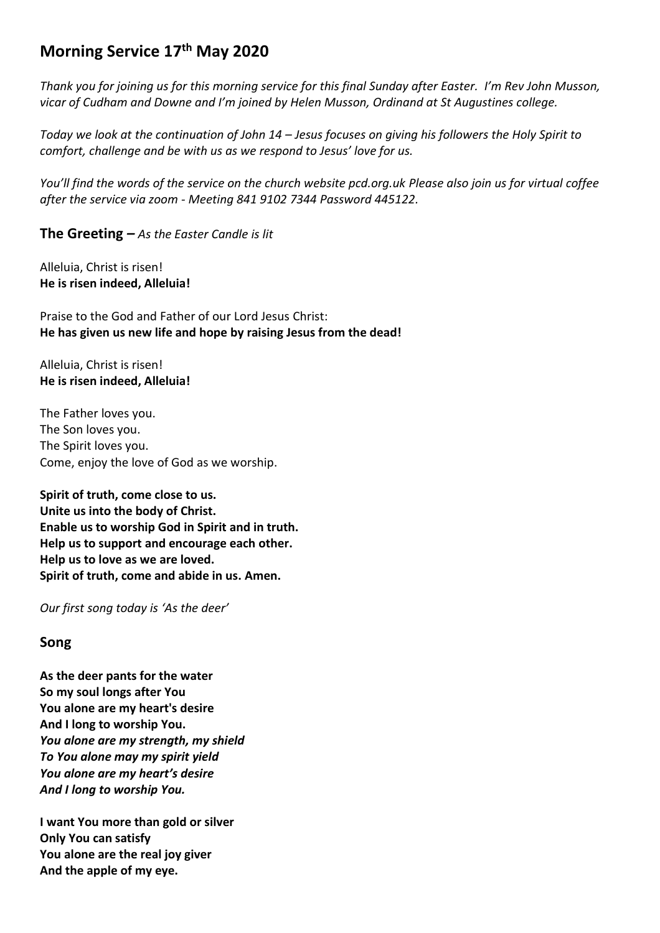# **Morning Service 17 th May 2020**

*Thank you for joining us for this morning service for this final Sunday after Easter. I'm Rev John Musson, vicar of Cudham and Downe and I'm joined by Helen Musson, Ordinand at St Augustines college.* 

*Today we look at the continuation of John 14 – Jesus focuses on giving his followers the Holy Spirit to comfort, challenge and be with us as we respond to Jesus' love for us.* 

*You'll find the words of the service on the church website pcd.org.uk Please also join us for virtual coffee after the service via zoom - Meeting 841 9102 7344 Password 445122.* 

**The Greeting** *– As the Easter Candle is lit*

Alleluia, Christ is risen! **He is risen indeed, Alleluia!**

Praise to the God and Father of our Lord Jesus Christ: **He has given us new life and hope by raising Jesus from the dead!**

Alleluia, Christ is risen! **He is risen indeed, Alleluia!**

The Father loves you. The Son loves you. The Spirit loves you. Come, enjoy the love of God as we worship.

**Spirit of truth, come close to us. Unite us into the body of Christ. Enable us to worship God in Spirit and in truth. Help us to support and encourage each other. Help us to love as we are loved. Spirit of truth, come and abide in us. Amen.**

*Our first song today is 'As the deer'*

# **Song**

**As the deer pants for the water So my soul longs after You You alone are my heart's desire And I long to worship You.** *You alone are my strength, my shield To You alone may my spirit yield You alone are my heart's desire And I long to worship You.*

**I want You more than gold or silver Only You can satisfy You alone are the real joy giver And the apple of my eye.**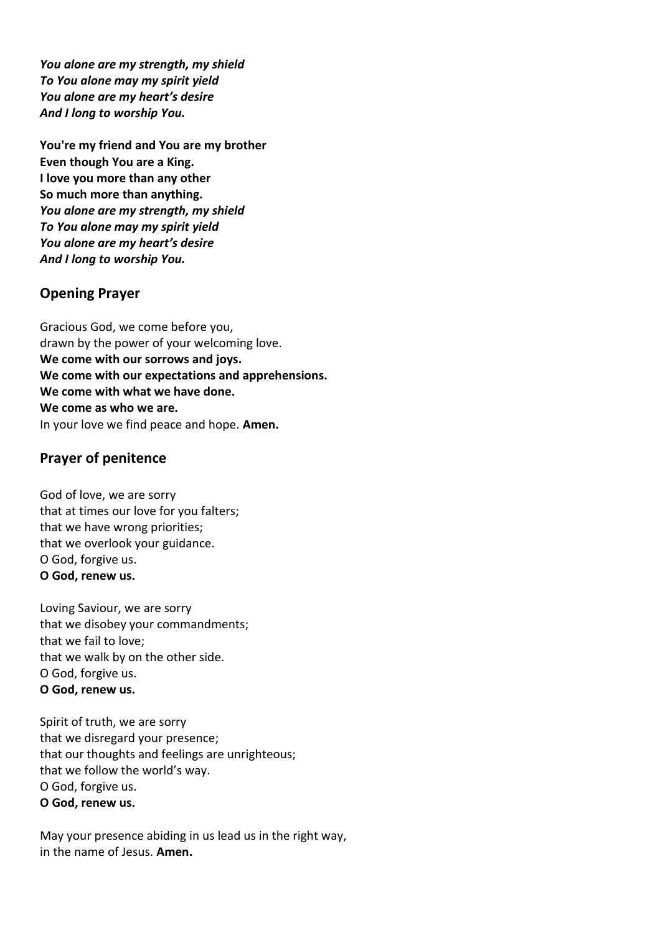*You alone are my strength, my shield To You alone may my spirit yield You alone are my heart's desire And I long to worship You.*

**You're my friend and You are my brother Even though You are a King. I love you more than any other So much more than anything.** *You alone are my strength, my shield To You alone may my spirit yield You alone are my heart's desire And I long to worship You.*

# **Opening Prayer**

Gracious God, we come before you, drawn by the power of your welcoming love. **We come with our sorrows and joys. We come with our expectations and apprehensions. We come with what we have done. We come as who we are.** In your love we find peace and hope. **Amen.**

### **Prayer of penitence**

God of love, we are sorry that at times our love for you falters; that we have wrong priorities; that we overlook your guidance. O God, forgive us. **O God, renew us.**

Loving Saviour, we are sorry that we disobey your commandments; that we fail to love; that we walk by on the other side. O God, forgive us. **O God, renew us.**

Spirit of truth, we are sorry that we disregard your presence; that our thoughts and feelings are unrighteous; that we follow the world's way. O God, forgive us. **O God, renew us.**

May your presence abiding in us lead us in the right way, in the name of Jesus. **Amen.**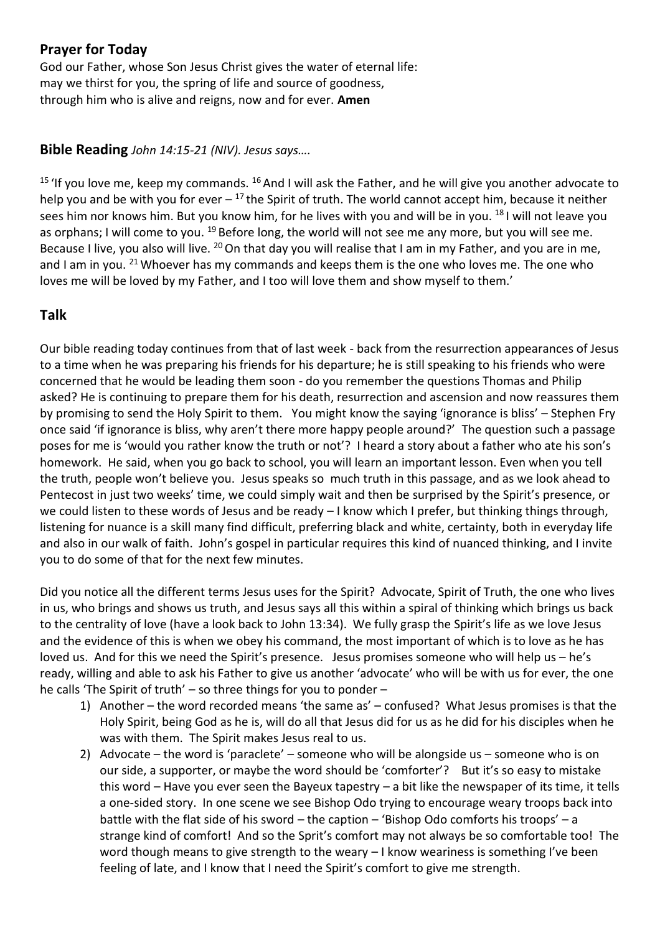# **Prayer for Today**

God our Father, whose Son Jesus Christ gives the water of eternal life: may we thirst for you, the spring of life and source of goodness, through him who is alive and reigns, now and for ever. **Amen**

# **Bible Reading** *John 14:15-21 (NIV). Jesus says….*

<sup>15</sup> 'If you love me, keep my commands.  $^{16}$  And I will ask the Father, and he will give you another advocate to help you and be with you for ever  $-17$  the Spirit of truth. The world cannot accept him, because it neither sees him nor knows him. But you know him, for he lives with you and will be in you. <sup>18</sup> I will not leave you as orphans; I will come to you. <sup>19</sup> Before long, the world will not see me any more, but you will see me. Because I live, you also will live. <sup>20</sup> On that day you will realise that I am in my Father, and you are in me, and I am in you. <sup>21</sup> Whoever has my commands and keeps them is the one who loves me. The one who loves me will be loved by my Father, and I too will love them and show myself to them.'

# **Talk**

Our bible reading today continues from that of last week - back from the resurrection appearances of Jesus to a time when he was preparing his friends for his departure; he is still speaking to his friends who were concerned that he would be leading them soon - do you remember the questions Thomas and Philip asked? He is continuing to prepare them for his death, resurrection and ascension and now reassures them by promising to send the Holy Spirit to them. You might know the saying 'ignorance is bliss' – Stephen Fry once said 'if ignorance is bliss, why aren't there more happy people around?' The question such a passage poses for me is 'would you rather know the truth or not'? I heard a story about a father who ate his son's homework. He said, when you go back to school, you will learn an important lesson. Even when you tell the truth, people won't believe you. Jesus speaks so much truth in this passage, and as we look ahead to Pentecost in just two weeks' time, we could simply wait and then be surprised by the Spirit's presence, or we could listen to these words of Jesus and be ready – I know which I prefer, but thinking things through, listening for nuance is a skill many find difficult, preferring black and white, certainty, both in everyday life and also in our walk of faith. John's gospel in particular requires this kind of nuanced thinking, and I invite you to do some of that for the next few minutes.

Did you notice all the different terms Jesus uses for the Spirit? Advocate, Spirit of Truth, the one who lives in us, who brings and shows us truth, and Jesus says all this within a spiral of thinking which brings us back to the centrality of love (have a look back to John 13:34). We fully grasp the Spirit's life as we love Jesus and the evidence of this is when we obey his command, the most important of which is to love as he has loved us. And for this we need the Spirit's presence. Jesus promises someone who will help us – he's ready, willing and able to ask his Father to give us another 'advocate' who will be with us for ever, the one he calls 'The Spirit of truth' – so three things for you to ponder –

- 1) Another the word recorded means 'the same as' confused? What Jesus promises is that the Holy Spirit, being God as he is, will do all that Jesus did for us as he did for his disciples when he was with them. The Spirit makes Jesus real to us.
- 2) Advocate the word is 'paraclete' someone who will be alongside us someone who is on our side, a supporter, or maybe the word should be 'comforter'? But it's so easy to mistake this word – Have you ever seen the Bayeux tapestry – a bit like the newspaper of its time, it tells a one-sided story. In one scene we see Bishop Odo trying to encourage weary troops back into battle with the flat side of his sword – the caption – 'Bishop Odo comforts his troops' – a strange kind of comfort! And so the Sprit's comfort may not always be so comfortable too! The word though means to give strength to the weary – I know weariness is something I've been feeling of late, and I know that I need the Spirit's comfort to give me strength.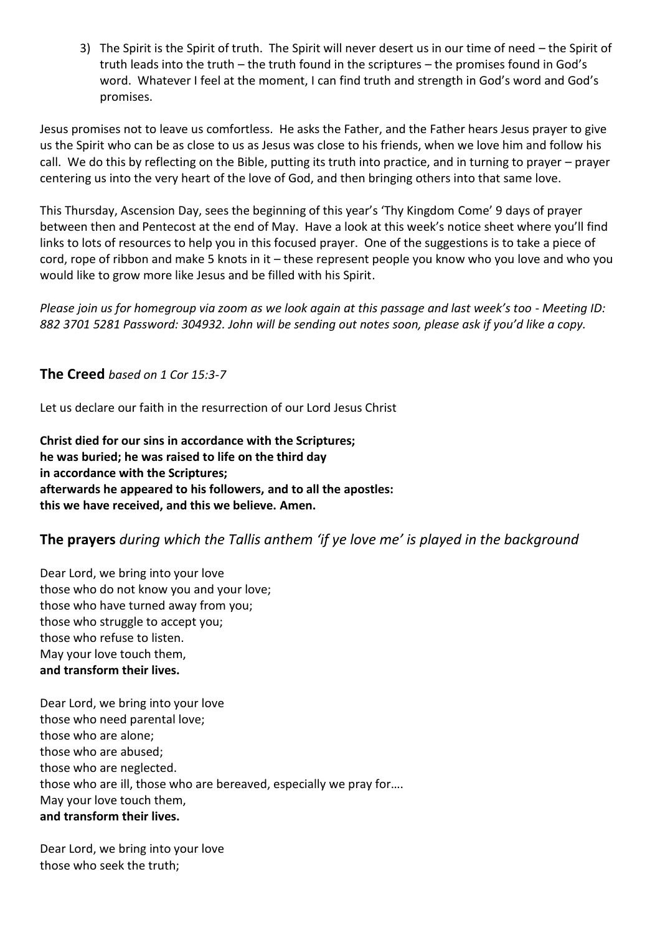3) The Spirit is the Spirit of truth. The Spirit will never desert us in our time of need – the Spirit of truth leads into the truth – the truth found in the scriptures – the promises found in God's word. Whatever I feel at the moment, I can find truth and strength in God's word and God's promises.

Jesus promises not to leave us comfortless. He asks the Father, and the Father hears Jesus prayer to give us the Spirit who can be as close to us as Jesus was close to his friends, when we love him and follow his call. We do this by reflecting on the Bible, putting its truth into practice, and in turning to prayer – prayer centering us into the very heart of the love of God, and then bringing others into that same love.

This Thursday, Ascension Day, sees the beginning of this year's 'Thy Kingdom Come' 9 days of prayer between then and Pentecost at the end of May. Have a look at this week's notice sheet where you'll find links to lots of resources to help you in this focused prayer. One of the suggestions is to take a piece of cord, rope of ribbon and make 5 knots in it – these represent people you know who you love and who you would like to grow more like Jesus and be filled with his Spirit.

*Please join us for homegroup via zoom as we look again at this passage and last week's too - Meeting ID: 882 3701 5281 Password: 304932. John will be sending out notes soon, please ask if you'd like a copy.*

**The Creed** *based on 1 Cor 15:3-7*

Let us declare our faith in the resurrection of our Lord Jesus Christ

**Christ died for our sins in accordance with the Scriptures; he was buried; he was raised to life on the third day in accordance with the Scriptures; afterwards he appeared to his followers, and to all the apostles: this we have received, and this we believe. Amen.**

# **The prayers** *during which the Tallis anthem 'if ye love me' is played in the background*

Dear Lord, we bring into your love those who do not know you and your love; those who have turned away from you; those who struggle to accept you; those who refuse to listen. May your love touch them, **and transform their lives.**

Dear Lord, we bring into your love those who need parental love; those who are alone; those who are abused; those who are neglected. those who are ill, those who are bereaved, especially we pray for…. May your love touch them, **and transform their lives.**

Dear Lord, we bring into your love those who seek the truth;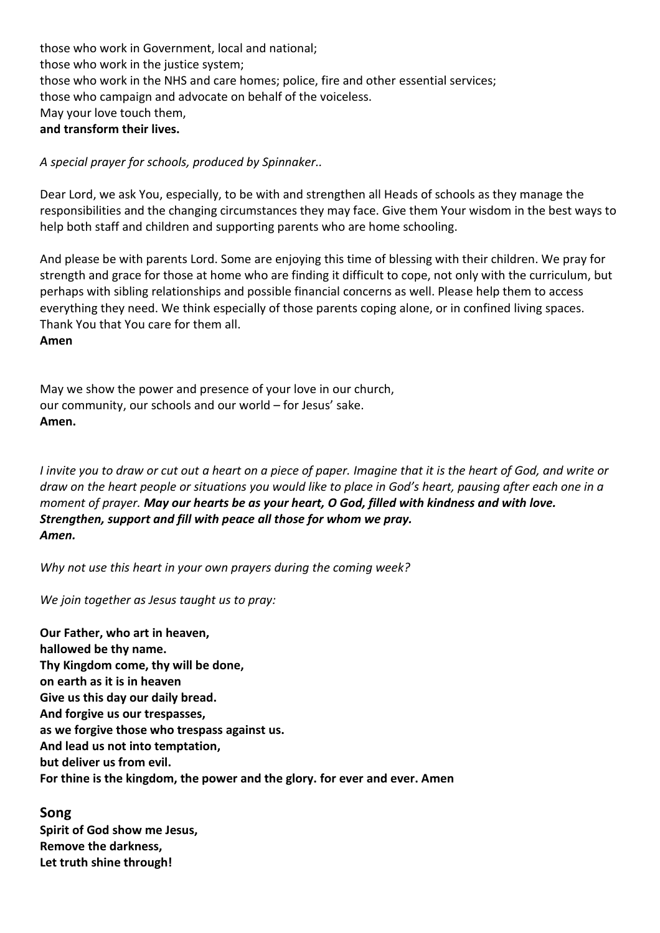those who work in Government, local and national; those who work in the justice system; those who work in the NHS and care homes; police, fire and other essential services; those who campaign and advocate on behalf of the voiceless. May your love touch them, **and transform their lives.**

*A special prayer for schools, produced by Spinnaker..*

Dear Lord, we ask You, especially, to be with and strengthen all Heads of schools as they manage the responsibilities and the changing circumstances they may face. Give them Your wisdom in the best ways to help both staff and children and supporting parents who are home schooling.

And please be with parents Lord. Some are enjoying this time of blessing with their children. We pray for strength and grace for those at home who are finding it difficult to cope, not only with the curriculum, but perhaps with sibling relationships and possible financial concerns as well. Please help them to access everything they need. We think especially of those parents coping alone, or in confined living spaces. Thank You that You care for them all.

#### **Amen**

May we show the power and presence of your love in our church, our community, our schools and our world – for Jesus' sake. **Amen.**

*I invite you to draw or cut out a heart on a piece of paper. Imagine that it is the heart of God, and write or draw on the heart people or situations you would like to place in God's heart, pausing after each one in a moment of prayer. May our hearts be as your heart, O God, filled with kindness and with love. Strengthen, support and fill with peace all those for whom we pray. Amen.*

*Why not use this heart in your own prayers during the coming week?*

*We join together as Jesus taught us to pray:*

**Our Father, who art in heaven, hallowed be thy name. Thy Kingdom come, thy will be done, on earth as it is in heaven Give us this day our daily bread. And forgive us our trespasses, as we forgive those who trespass against us. And lead us not into temptation, but deliver us from evil. For thine is the kingdom, the power and the glory. for ever and ever. Amen**

### **Song**

**Spirit of God show me Jesus, Remove the darkness, Let truth shine through!**